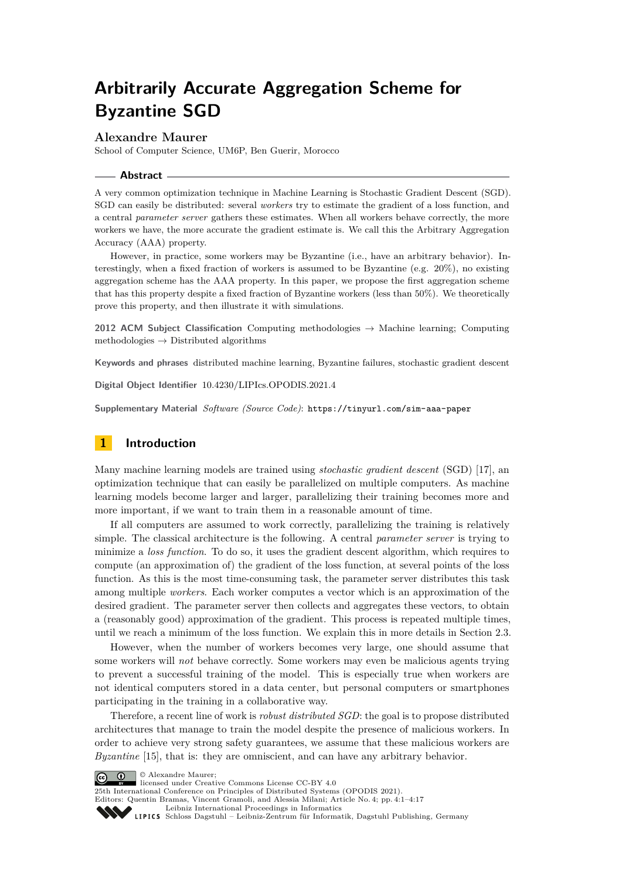# **Arbitrarily Accurate Aggregation Scheme for Byzantine SGD**

# **Alexandre Maurer**

School of Computer Science, UM6P, Ben Guerir, Morocco

## **Abstract**

A very common optimization technique in Machine Learning is Stochastic Gradient Descent (SGD). SGD can easily be distributed: several *workers* try to estimate the gradient of a loss function, and a central *parameter server* gathers these estimates. When all workers behave correctly, the more workers we have, the more accurate the gradient estimate is. We call this the Arbitrary Aggregation Accuracy (AAA) property.

However, in practice, some workers may be Byzantine (i.e., have an arbitrary behavior). Interestingly, when a fixed fraction of workers is assumed to be Byzantine (e.g. 20%), no existing aggregation scheme has the AAA property. In this paper, we propose the first aggregation scheme that has this property despite a fixed fraction of Byzantine workers (less than 50%). We theoretically prove this property, and then illustrate it with simulations.

**2012 ACM Subject Classification** Computing methodologies → Machine learning; Computing methodologies  $\rightarrow$  Distributed algorithms

**Keywords and phrases** distributed machine learning, Byzantine failures, stochastic gradient descent

**Digital Object Identifier** [10.4230/LIPIcs.OPODIS.2021.4](https://doi.org/10.4230/LIPIcs.OPODIS.2021.4)

**Supplementary Material** *Software (Source Code)*: <https://tinyurl.com/sim-aaa-paper>

# **1 Introduction**

Many machine learning models are trained using *stochastic gradient descent* (SGD) [\[17\]](#page-14-0), an optimization technique that can easily be parallelized on multiple computers. As machine learning models become larger and larger, parallelizing their training becomes more and more important, if we want to train them in a reasonable amount of time.

If all computers are assumed to work correctly, parallelizing the training is relatively simple. The classical architecture is the following. A central *parameter server* is trying to minimize a *loss function*. To do so, it uses the gradient descent algorithm, which requires to compute (an approximation of) the gradient of the loss function, at several points of the loss function. As this is the most time-consuming task, the parameter server distributes this task among multiple *workers*. Each worker computes a vector which is an approximation of the desired gradient. The parameter server then collects and aggregates these vectors, to obtain a (reasonably good) approximation of the gradient. This process is repeated multiple times, until we reach a minimum of the loss function. We explain this in more details in Section [2.3.](#page-3-0)

However, when the number of workers becomes very large, one should assume that some workers will *not* behave correctly. Some workers may even be malicious agents trying to prevent a successful training of the model. This is especially true when workers are not identical computers stored in a data center, but personal computers or smartphones participating in the training in a collaborative way.

Therefore, a recent line of work is *robust distributed SGD*: the goal is to propose distributed architectures that manage to train the model despite the presence of malicious workers. In order to achieve very strong safety guarantees, we assume that these malicious workers are *Byzantine* [\[15\]](#page-14-1), that is: they are omniscient, and can have any arbitrary behavior.

© Alexandre Maurer;  $\boxed{6}$  0

[Leibniz International Proceedings in Informatics](https://www.dagstuhl.de/lipics/)

[Schloss Dagstuhl – Leibniz-Zentrum für Informatik, Dagstuhl Publishing, Germany](https://www.dagstuhl.de)

licensed under Creative Commons License CC-BY 4.0

<sup>25</sup>th International Conference on Principles of Distributed Systems (OPODIS 2021). Editors: Quentin Bramas, Vincent Gramoli, and Alessia Milani; Article No. 4; pp. 4:1–4:17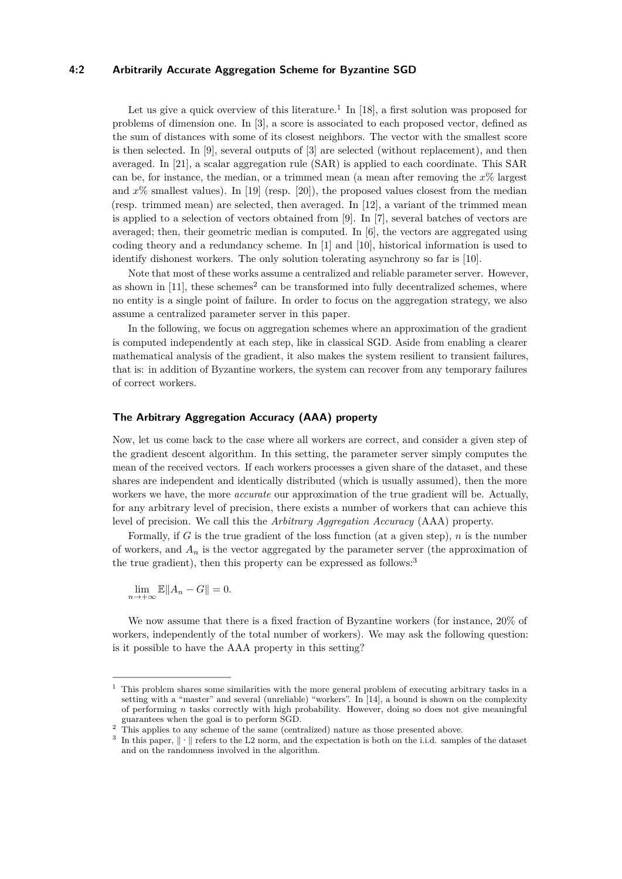## **4:2 Arbitrarily Accurate Aggregation Scheme for Byzantine SGD**

Let us give a quick overview of this literature.<sup>[1](#page-1-0)</sup> In [\[18\]](#page-14-2), a first solution was proposed for problems of dimension one. In [\[3\]](#page-13-0), a score is associated to each proposed vector, defined as the sum of distances with some of its closest neighbors. The vector with the smallest score is then selected. In [\[9\]](#page-14-3), several outputs of [\[3\]](#page-13-0) are selected (without replacement), and then averaged. In [\[21\]](#page-14-4), a scalar aggregation rule (SAR) is applied to each coordinate. This SAR can be, for instance, the median, or a trimmed mean (a mean after removing the *x*% largest and  $x\%$  smallest values). In [\[19\]](#page-14-5) (resp. [\[20\]](#page-14-6)), the proposed values closest from the median (resp. trimmed mean) are selected, then averaged. In [\[12\]](#page-14-7), a variant of the trimmed mean is applied to a selection of vectors obtained from [\[9\]](#page-14-3). In [\[7\]](#page-13-1), several batches of vectors are averaged; then, their geometric median is computed. In [\[6\]](#page-13-2), the vectors are aggregated using coding theory and a redundancy scheme. In [\[1\]](#page-13-3) and [\[10\]](#page-14-8), historical information is used to identify dishonest workers. The only solution tolerating asynchrony so far is [\[10\]](#page-14-8).

Note that most of these works assume a centralized and reliable parameter server. However, as shown in  $[11]$ , these schemes<sup>[2](#page-1-1)</sup> can be transformed into fully decentralized schemes, where no entity is a single point of failure. In order to focus on the aggregation strategy, we also assume a centralized parameter server in this paper.

In the following, we focus on aggregation schemes where an approximation of the gradient is computed independently at each step, like in classical SGD. Aside from enabling a clearer mathematical analysis of the gradient, it also makes the system resilient to transient failures, that is: in addition of Byzantine workers, the system can recover from any temporary failures of correct workers.

## **The Arbitrary Aggregation Accuracy (AAA) property**

Now, let us come back to the case where all workers are correct, and consider a given step of the gradient descent algorithm. In this setting, the parameter server simply computes the mean of the received vectors. If each workers processes a given share of the dataset, and these shares are independent and identically distributed (which is usually assumed), then the more workers we have, the more *accurate* our approximation of the true gradient will be. Actually, for any arbitrary level of precision, there exists a number of workers that can achieve this level of precision. We call this the *Arbitrary Aggregation Accuracy* (AAA) property.

Formally, if *G* is the true gradient of the loss function (at a given step), *n* is the number of workers, and  $A_n$  is the vector aggregated by the parameter server (the approximation of the true gradient), then this property can be expressed as follows:<sup>[3](#page-1-2)</sup>

 $\lim_{n \to +\infty} \mathbb{E} \|A_n - G\| = 0.$ 

We now assume that there is a fixed fraction of Byzantine workers (for instance, 20% of workers, independently of the total number of workers). We may ask the following question: is it possible to have the AAA property in this setting?

<span id="page-1-0"></span><sup>1</sup> This problem shares some similarities with the more general problem of executing arbitrary tasks in a setting with a "master" and several (unreliable) "workers". In [\[14\]](#page-14-10), a bound is shown on the complexity of performing *n* tasks correctly with high probability. However, doing so does not give meaningful guarantees when the goal is to perform SGD.

<span id="page-1-1"></span><sup>&</sup>lt;sup>2</sup> This applies to any scheme of the same (centralized) nature as those presented above.<br><sup>3</sup> In this paper.  $\|\cdot\|$  refers to the L2 perm, and the expectation is both on the i.i.d. sample.

<span id="page-1-2"></span>In this paper, ∥·∥ refers to the L2 norm, and the expectation is both on the i.i.d. samples of the dataset and on the randomness involved in the algorithm.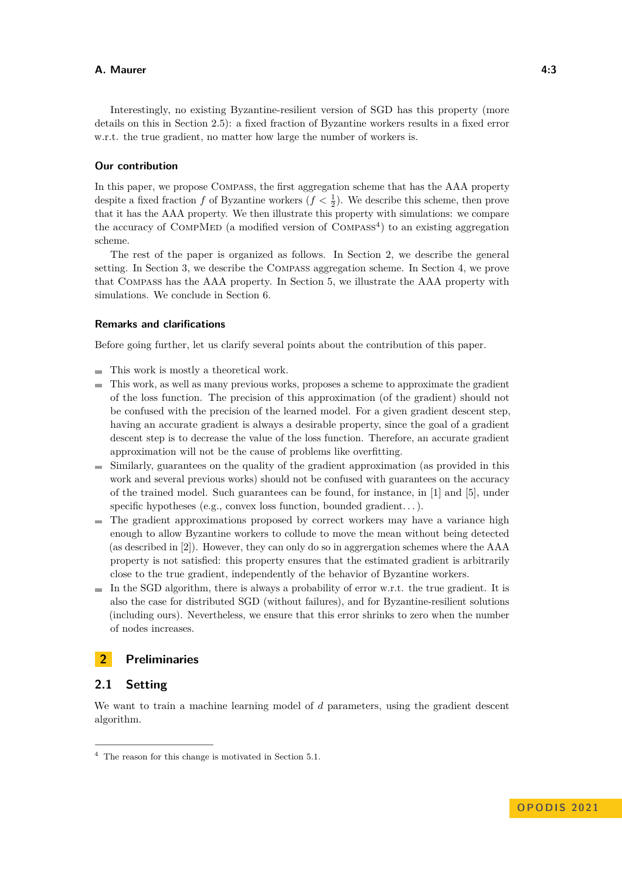Interestingly, no existing Byzantine-resilient version of SGD has this property (more details on this in Section [2.5\)](#page-4-0): a fixed fraction of Byzantine workers results in a fixed error w.r.t. the true gradient, no matter how large the number of workers is.

#### **Our contribution**

In this paper, we propose Compass, the first aggregation scheme that has the AAA property despite a fixed fraction *f* of Byzantine workers  $(f < \frac{1}{2})$ . We describe this scheme, then prove that it has the AAA property. We then illustrate this property with simulations: we compare the accuracy of COMPMED (a modified version of  $COMPASS<sup>4</sup>$  $COMPASS<sup>4</sup>$  $COMPASS<sup>4</sup>$ ) to an existing aggregation scheme.

The rest of the paper is organized as follows. In Section [2,](#page-2-1) we describe the general setting. In Section [3,](#page-4-1) we describe the Compass aggregation scheme. In Section [4,](#page-6-0) we prove that Compass has the AAA property. In Section [5,](#page-9-0) we illustrate the AAA property with simulations. We conclude in Section [6.](#page-13-4)

## **Remarks and clarifications**

Before going further, let us clarify several points about the contribution of this paper.

- This work is mostly a theoretical work.
- This work, as well as many previous works, proposes a scheme to approximate the gradient of the loss function. The precision of this approximation (of the gradient) should not be confused with the precision of the learned model. For a given gradient descent step, having an accurate gradient is always a desirable property, since the goal of a gradient descent step is to decrease the value of the loss function. Therefore, an accurate gradient approximation will not be the cause of problems like overfitting.
- Similarly, guarantees on the quality of the gradient approximation (as provided in this work and several previous works) should not be confused with guarantees on the accuracy of the trained model. Such guarantees can be found, for instance, in [\[1\]](#page-13-3) and [\[5\]](#page-13-5), under specific hypotheses (e.g., convex loss function, bounded gradient...).
- $\blacksquare$  The gradient approximations proposed by correct workers may have a variance high enough to allow Byzantine workers to collude to move the mean without being detected (as described in [\[2\]](#page-13-6)). However, they can only do so in aggrergation schemes where the AAA property is not satisfied: this property ensures that the estimated gradient is arbitrarily close to the true gradient, independently of the behavior of Byzantine workers.
- $\blacksquare$  In the SGD algorithm, there is always a probability of error w.r.t. the true gradient. It is also the case for distributed SGD (without failures), and for Byzantine-resilient solutions (including ours). Nevertheless, we ensure that this error shrinks to zero when the number of nodes increases.

# <span id="page-2-1"></span>**2 Preliminaries**

# **2.1 Setting**

We want to train a machine learning model of *d* parameters, using the gradient descent algorithm.

<span id="page-2-0"></span><sup>4</sup> The reason for this change is motivated in Section [5.1.](#page-10-0)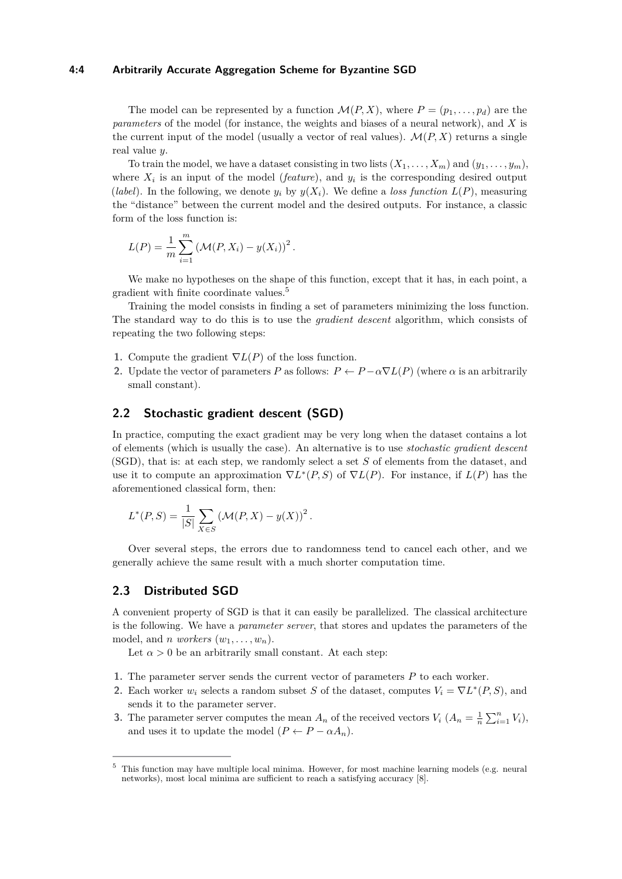#### **4:4 Arbitrarily Accurate Aggregation Scheme for Byzantine SGD**

The model can be represented by a function  $\mathcal{M}(P, X)$ , where  $P = (p_1, \ldots, p_d)$  are the *parameters* of the model (for instance, the weights and biases of a neural network), and *X* is the current input of the model (usually a vector of real values).  $\mathcal{M}(P, X)$  returns a single real value *y*.

To train the model, we have a dataset consisting in two lists  $(X_1, \ldots, X_m)$  and  $(y_1, \ldots, y_m)$ , where  $X_i$  is an input of the model (*feature*), and  $y_i$  is the corresponding desired output (*label*). In the following, we denote  $y_i$  by  $y(X_i)$ . We define a *loss function*  $L(P)$ , measuring the "distance" between the current model and the desired outputs. For instance, a classic form of the loss function is:

$$
L(P) = \frac{1}{m} \sum_{i=1}^{m} (M(P, X_i) - y(X_i))^2.
$$

We make no hypotheses on the shape of this function, except that it has, in each point, a gradient with finite coordinate values.[5](#page-3-1)

Training the model consists in finding a set of parameters minimizing the loss function. The standard way to do this is to use the *gradient descent* algorithm, which consists of repeating the two following steps:

- **1.** Compute the gradient  $\nabla L(P)$  of the loss function.
- **2.** Update the vector of parameters *P* as follows:  $P \leftarrow P \alpha \nabla L(P)$  (where  $\alpha$  is an arbitrarily small constant).

## **2.2 Stochastic gradient descent (SGD)**

In practice, computing the exact gradient may be very long when the dataset contains a lot of elements (which is usually the case). An alternative is to use *stochastic gradient descent* (SGD), that is: at each step, we randomly select a set *S* of elements from the dataset, and use it to compute an approximation  $\nabla L^*(P, S)$  of  $\nabla L(P)$ . For instance, if  $L(P)$  has the aforementioned classical form, then:

$$
L^{*}(P, S) = \frac{1}{|S|} \sum_{X \in S} (\mathcal{M}(P, X) - y(X))^{2}.
$$

Over several steps, the errors due to randomness tend to cancel each other, and we generally achieve the same result with a much shorter computation time.

# <span id="page-3-0"></span>**2.3 Distributed SGD**

A convenient property of SGD is that it can easily be parallelized. The classical architecture is the following. We have a *parameter server*, that stores and updates the parameters of the model, and *n* workers  $(w_1, \ldots, w_n)$ .

Let  $\alpha > 0$  be an arbitrarily small constant. At each step:

- **1.** The parameter server sends the current vector of parameters *P* to each worker.
- **2.** Each worker  $w_i$  selects a random subset *S* of the dataset, computes  $V_i = \nabla L^*(P, S)$ , and sends it to the parameter server.
- **3.** The parameter server computes the mean  $A_n$  of the received vectors  $V_i$   $(A_n = \frac{1}{n} \sum_{i=1}^n V_i)$ , and uses it to update the model  $(P \leftarrow P - \alpha A_n)$ .

<span id="page-3-1"></span><sup>&</sup>lt;sup>5</sup> This function may have multiple local minima. However, for most machine learning models (e.g. neural) networks), most local minima are sufficient to reach a satisfying accuracy [\[8\]](#page-14-11).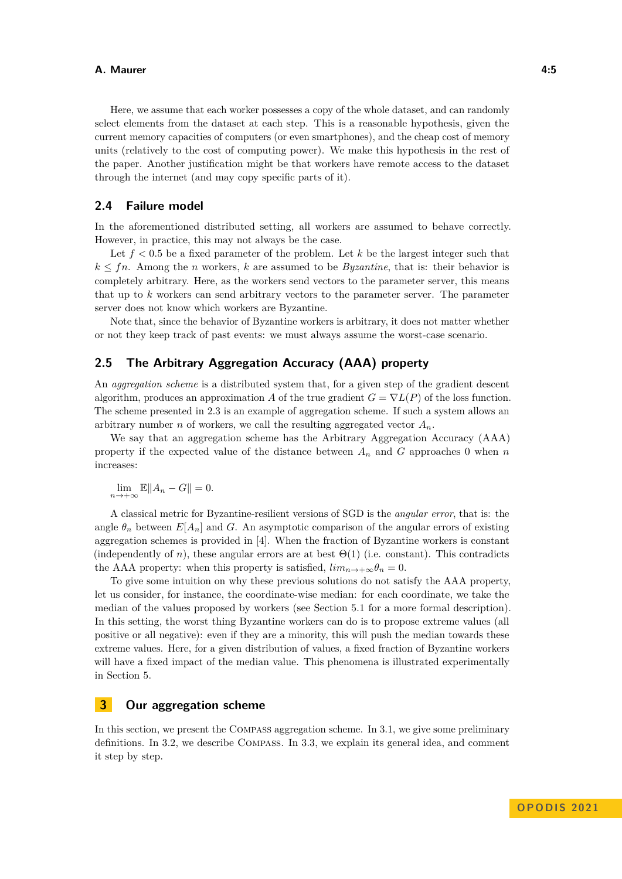Here, we assume that each worker possesses a copy of the whole dataset, and can randomly select elements from the dataset at each step. This is a reasonable hypothesis, given the current memory capacities of computers (or even smartphones), and the cheap cost of memory units (relatively to the cost of computing power). We make this hypothesis in the rest of the paper. Another justification might be that workers have remote access to the dataset through the internet (and may copy specific parts of it).

# **2.4 Failure model**

In the aforementioned distributed setting, all workers are assumed to behave correctly. However, in practice, this may not always be the case.

Let *f <* 0*.*5 be a fixed parameter of the problem. Let *k* be the largest integer such that  $k \leq fn$ . Among the *n* workers, *k* are assumed to be *Byzantine*, that is: their behavior is completely arbitrary. Here, as the workers send vectors to the parameter server, this means that up to *k* workers can send arbitrary vectors to the parameter server. The parameter server does not know which workers are Byzantine.

Note that, since the behavior of Byzantine workers is arbitrary, it does not matter whether or not they keep track of past events: we must always assume the worst-case scenario.

# <span id="page-4-0"></span>**2.5 The Arbitrary Aggregation Accuracy (AAA) property**

An *aggregation scheme* is a distributed system that, for a given step of the gradient descent algorithm, produces an approximation *A* of the true gradient  $G = \nabla L(P)$  of the loss function. The scheme presented in [2.3](#page-3-0) is an example of aggregation scheme. If such a system allows an arbitrary number *n* of workers, we call the resulting aggregated vector  $A_n$ .

We say that an aggregation scheme has the Arbitrary Aggregation Accuracy (AAA) property if the expected value of the distance between  $A_n$  and  $G$  approaches 0 when  $n$ increases:

 $\lim_{n \to +\infty} \mathbb{E} \|A_n - G\| = 0.$ 

A classical metric for Byzantine-resilient versions of SGD is the *angular error*, that is: the angle  $\theta_n$  between  $E[A_n]$  and G. An asymptotic comparison of the angular errors of existing aggregation schemes is provided in [\[4\]](#page-13-7). When the fraction of Byzantine workers is constant (independently of *n*), these angular errors are at best  $\Theta(1)$  (i.e. constant). This contradicts the AAA property: when this property is satisfied,  $\lim_{n \to \infty} \theta_n = 0$ .

To give some intuition on why these previous solutions do not satisfy the AAA property, let us consider, for instance, the coordinate-wise median: for each coordinate, we take the median of the values proposed by workers (see Section [5.1](#page-10-0) for a more formal description). In this setting, the worst thing Byzantine workers can do is to propose extreme values (all positive or all negative): even if they are a minority, this will push the median towards these extreme values. Here, for a given distribution of values, a fixed fraction of Byzantine workers will have a fixed impact of the median value. This phenomena is illustrated experimentally in Section [5.](#page-9-0)

# <span id="page-4-1"></span>**3 Our aggregation scheme**

In this section, we present the Compass aggregation scheme. In [3.1,](#page-5-0) we give some preliminary definitions. In [3.2,](#page-5-1) we describe Compass. In [3.3,](#page-6-1) we explain its general idea, and comment it step by step.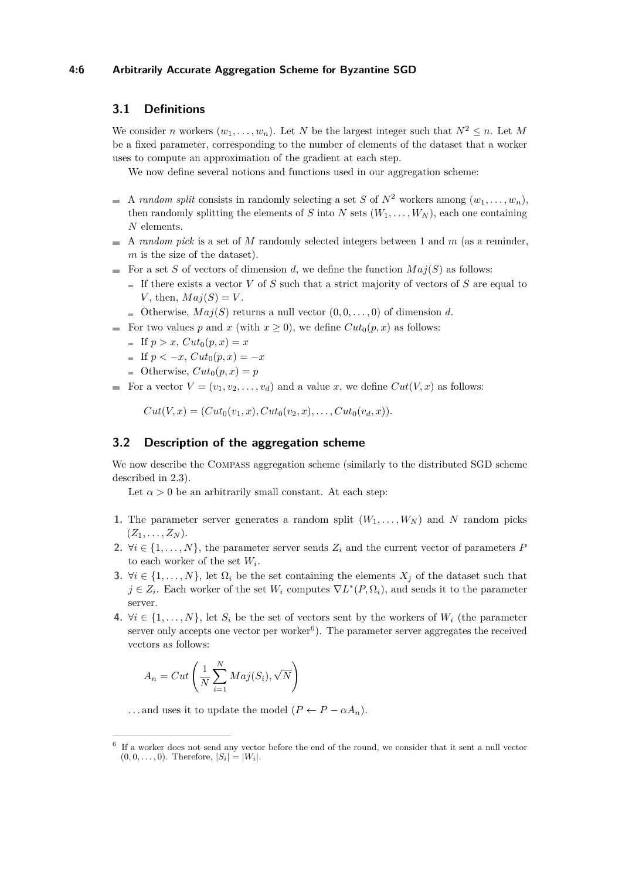## **4:6 Arbitrarily Accurate Aggregation Scheme for Byzantine SGD**

# <span id="page-5-0"></span>**3.1 Definitions**

We consider *n* workers  $(w_1, \ldots, w_n)$ . Let *N* be the largest integer such that  $N^2 \leq n$ . Let *M* be a fixed parameter, corresponding to the number of elements of the dataset that a worker uses to compute an approximation of the gradient at each step.

We now define several notions and functions used in our aggregation scheme:

- A *random split* consists in randomly selecting a set *S* of  $N^2$  workers among  $(w_1, \ldots, w_n)$ , then randomly splitting the elements of *S* into *N* sets  $(W_1, \ldots, W_N)$ , each one containing *N* elements.
- A *random pick* is a set of *M* randomly selected integers between 1 and *m* (as a reminder, *m* is the size of the dataset).
- For a set *S* of vectors of dimension *d*, we define the function  $Maj(S)$  as follows:
	- If there exists a vector *V* of *S* such that a strict majority of vectors of *S* are equal to *V*, then,  $Maj(S) = V$ .
	- Otherwise,  $Maj(S)$  returns a null vector  $(0,0,\ldots,0)$  of dimension *d*.
- For two values p and x (with  $x > 0$ ), we define  $Cut_0(p, x)$  as follows:
	- If  $p > x$ ,  $Cut_0(p, x) = x$
	- $\text{If } p < -x, Cut_0(p, x) = -x$
	- Otherwise,  $Cut_0(p, x) = p$
- For a vector  $V = (v_1, v_2, \dots, v_d)$  and a value *x*, we define  $Cut(V, x)$  as follows:

 $Cut(V, x) = (Cut_0(v_1, x), Cut_0(v_2, x), \ldots, Cut_0(v_d, x)).$ 

# <span id="page-5-1"></span>**3.2 Description of the aggregation scheme**

We now describe the COMPASS aggregation scheme (similarly to the distributed SGD scheme described in [2.3\)](#page-3-0).

Let  $\alpha > 0$  be an arbitrarily small constant. At each step:

- **1.** The parameter server generates a random split  $(W_1, \ldots, W_N)$  and N random picks  $(Z_1, \ldots, Z_N)$ .
- 2.  $\forall i \in \{1, \ldots, N\}$ , the parameter server sends  $Z_i$  and the current vector of parameters *P* to each worker of the set *W<sup>i</sup>* .
- **3.**  $\forall i \in \{1, \ldots, N\}$ , let  $\Omega_i$  be the set containing the elements  $X_j$  of the dataset such that  $j \in Z_i$ . Each worker of the set  $W_i$  computes  $\nabla L^*(P, \Omega_i)$ , and sends it to the parameter server.
- **4.**  $\forall i \in \{1, \ldots, N\}$ , let  $S_i$  be the set of vectors sent by the workers of  $W_i$  (the parameter server only accepts one vector per worker<sup>[6](#page-5-2)</sup>). The parameter server aggregates the received vectors as follows:

$$
A_n = Cut\left(\frac{1}{N} \sum_{i=1}^{N} Maj(S_i), \sqrt{N}\right)
$$

... and uses it to update the model  $(P \leftarrow P - \alpha A_n)$ .

<span id="page-5-2"></span><sup>&</sup>lt;sup>6</sup> If a worker does not send any vector before the end of the round, we consider that it sent a null vector  $(0, 0, \ldots, 0)$ . Therefore,  $|S_i| = |W_i|$ .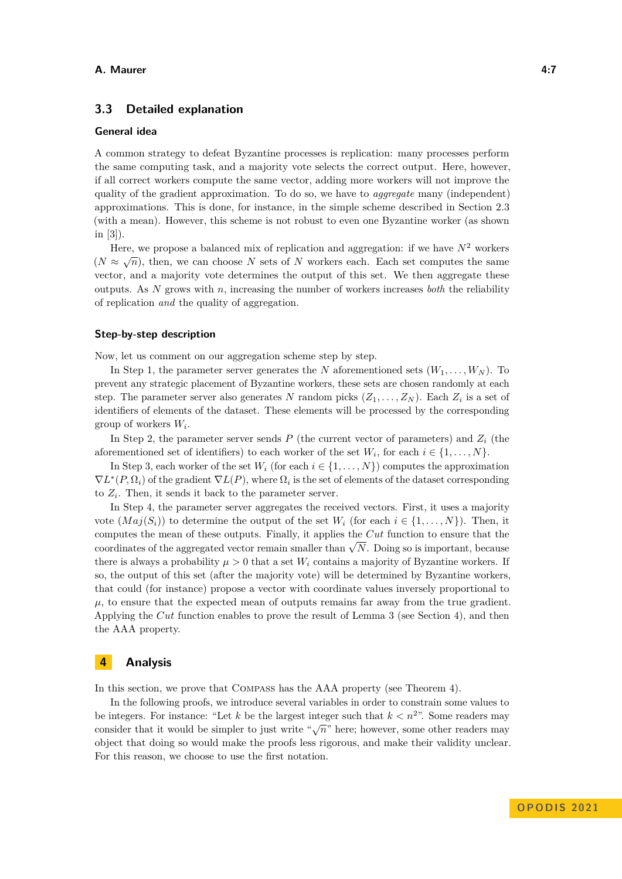# <span id="page-6-1"></span>**3.3 Detailed explanation**

## **General idea**

A common strategy to defeat Byzantine processes is replication: many processes perform the same computing task, and a majority vote selects the correct output. Here, however, if all correct workers compute the same vector, adding more workers will not improve the quality of the gradient approximation. To do so, we have to *aggregate* many (independent) approximations. This is done, for instance, in the simple scheme described in Section [2.3](#page-3-0) (with a mean). However, this scheme is not robust to even one Byzantine worker (as shown in [\[3\]](#page-13-0)).

Here, we propose a balanced mix of replication and aggregation: if we have  $N^2$  workers ( $N \approx \sqrt{n}$ ), then, we can choose *N* sets of *N* workers each. Each set computes the same vector, and a majority vote determines the output of this set. We then aggregate these outputs. As *N* grows with *n*, increasing the number of workers increases *both* the reliability of replication *and* the quality of aggregation.

#### **Step-by-step description**

Now, let us comment on our aggregation scheme step by step.

In Step 1, the parameter server generates the *N* aforementioned sets  $(W_1, \ldots, W_N)$ . To prevent any strategic placement of Byzantine workers, these sets are chosen randomly at each step. The parameter server also generates *N* random picks  $(Z_1, \ldots, Z_N)$ . Each  $Z_i$  is a set of identifiers of elements of the dataset. These elements will be processed by the corresponding group of workers *W<sup>i</sup>* .

In Step 2, the parameter server sends  $P$  (the current vector of parameters) and  $Z_i$  (the aforementioned set of identifiers) to each worker of the set  $W_i$ , for each  $i \in \{1, \ldots, N\}$ .

In Step 3, each worker of the set  $W_i$  (for each  $i \in \{1, ..., N\}$ ) computes the approximation  $\nabla L^*(P, \Omega_i)$  of the gradient  $\nabla L(P)$ , where  $\Omega_i$  is the set of elements of the dataset corresponding to  $Z_i$ . Then, it sends it back to the parameter server.

In Step 4, the parameter server aggregates the received vectors. First, it uses a majority vote  $(Maj(S_i))$  to determine the output of the set  $W_i$  (for each  $i \in \{1, \ldots, N\}$ ). Then, it computes the mean of these outputs. Finally, it applies the *Cut* function to ensure that the computes the mean of these outputs. Finally, it applies the  $\overline{C}u$  function to ensure that the coordinates of the aggregated vector remain smaller than  $\sqrt{N}$ . Doing so is important, because there is always a probability  $\mu > 0$  that a set  $W_i$  contains a majority of Byzantine workers. If so, the output of this set (after the majority vote) will be determined by Byzantine workers, that could (for instance) propose a vector with coordinate values inversely proportional to  $\mu$ , to ensure that the expected mean of outputs remains far away from the true gradient. Applying the *Cut* function enables to prove the result of Lemma [3](#page-7-0) (see Section [4\)](#page-6-0), and then the AAA property.

# <span id="page-6-0"></span>**4 Analysis**

In this section, we prove that Compass has the AAA property (see Theorem [4\)](#page-9-1).

<span id="page-6-2"></span>In the following proofs, we introduce several variables in order to constrain some values to be integers. For instance: "Let  $k$  be the largest integer such that  $k < n<sup>2</sup>$ ". Some readers may consider that it would be simpler to just write " $\sqrt{n}$ " here; however, some other readers may consider that it would be simpler to just write " $\sqrt{n}$ " here; however, some other readers may object that doing so would make the proofs less rigorous, and make their validity unclear. For this reason, we choose to use the first notation.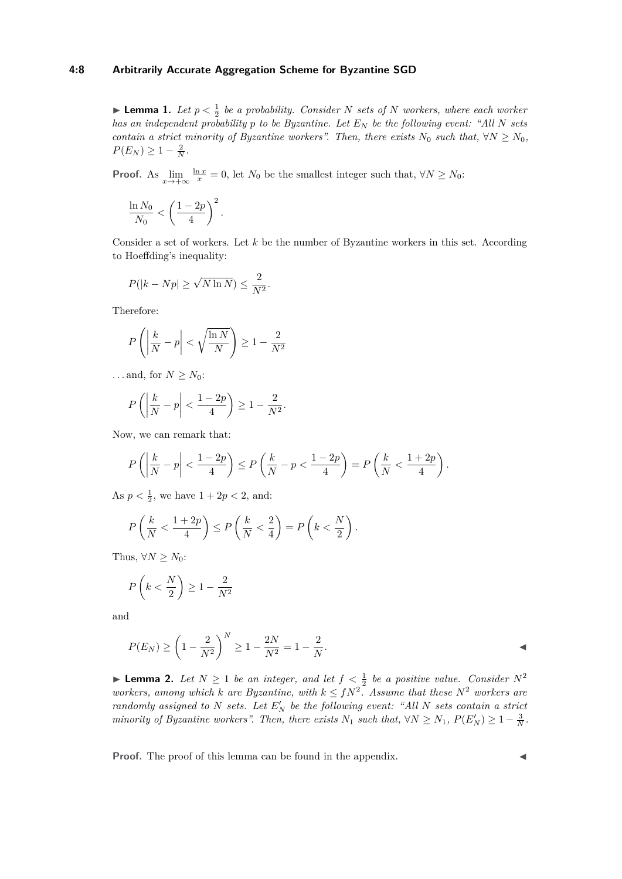## **4:8 Arbitrarily Accurate Aggregation Scheme for Byzantine SGD**

**• Lemma 1.** Let  $p < \frac{1}{2}$  be a probability. Consider N sets of N workers, where each worker *has an independent probability p to be Byzantine. Let E<sup>N</sup> be the following event: "All N sets contain a strict minority of Byzantine workers". Then, there exists*  $N_0$  *such that,*  $\forall N \geq N_0$ *,*  $P(E_N) \geq 1 - \frac{2}{N}$ .

**Proof.** As  $\lim_{x \to +\infty} \frac{\ln x}{x} = 0$ , let  $N_0$  be the smallest integer such that,  $\forall N \ge N_0$ :

$$
\frac{\ln N_0}{N_0} < \left(\frac{1-2p}{4}\right)^2.
$$

Consider a set of workers. Let *k* be the number of Byzantine workers in this set. According to Hoeffding's inequality:

$$
P(|k - Np| \ge \sqrt{N \ln N}) \le \frac{2}{N^2}.
$$

Therefore:

$$
P\left(\left|\frac{k}{N} - p\right| < \sqrt{\frac{\ln N}{N}}\right) \ge 1 - \frac{2}{N^2}
$$

...and, for  $N > N_0$ :

$$
P\left(\left|\frac{k}{N}-p\right|<\frac{1-2p}{4}\right)\geq 1-\frac{2}{N^2}.
$$

Now, we can remark that:

$$
P\left(\left|\frac{k}{N}-p\right|<\frac{1-2p}{4}\right)\leq P\left(\frac{k}{N}-p<\frac{1-2p}{4}\right)=P\left(\frac{k}{N}<\frac{1+2p}{4}\right).
$$

As  $p < \frac{1}{2}$ , we have  $1 + 2p < 2$ , and:

$$
P\left(\frac{k}{N} < \frac{1+2p}{4}\right) \le P\left(\frac{k}{N} < \frac{2}{4}\right) = P\left(k < \frac{N}{2}\right).
$$

Thus,  $\forall N \geq N_0$ :

$$
P\left(k < \frac{N}{2}\right) \ge 1 - \frac{2}{N^2}
$$

and

$$
P(E_N) \ge \left(1 - \frac{2}{N^2}\right)^N \ge 1 - \frac{2N}{N^2} = 1 - \frac{2}{N}.
$$

<span id="page-7-1"></span>▶ **Lemma 2.** Let  $N \ge 1$  be an integer, and let  $f < \frac{1}{2}$  be a positive value. Consider  $N^2$ *workers, among which k* are Byzantine, with  $k \leq fN^2$ . Assume that these  $N^2$  workers are *randomly assigned to N sets.* Let  $E'_N$  be the following event: "All N sets contain a strict *minority of Byzantine workers". Then, there exists*  $N_1$  *such that,*  $\forall N \geq N_1$ ,  $P(E'_N) \geq 1 - \frac{3}{N}$ .

<span id="page-7-0"></span>**Proof.** The proof of this lemma can be found in the appendix.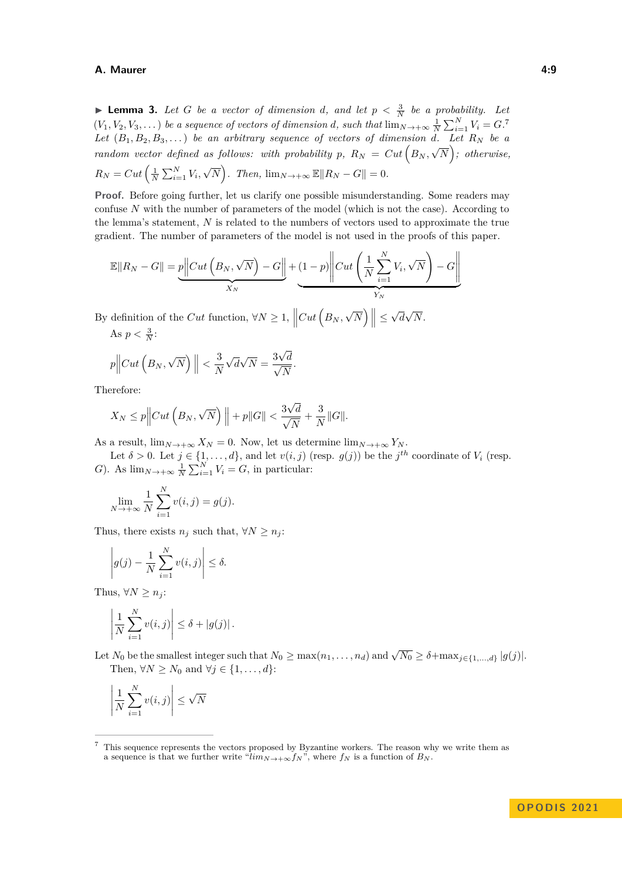**• Lemma 3.** Let G be a vector of dimension d, and let  $p < \frac{3}{N}$  be a probability. Let  $(V_1, V_2, V_3, \ldots)$  *be a sequence of vectors of dimension <i>d*, such that  $\lim_{N \to +\infty} \frac{1}{N} \sum_{i=1}^{N} V_i = G$ . Let  $(B_1, B_2, B_3, ...)$  *be an arbitrary sequence of vectors of dimension d.* Let  $R_N$  *be a random vector defined as follows: with probability p,*  $R_N = Cut \left(B_N, \sqrt{N}\right)$ ; otherwise,  $R_N = Cut \left( \frac{1}{N} \sum_{i=1}^{N} V_i \right)$ √  $\overline{N}$ ). Then,  $\lim_{N \to +\infty} \mathbb{E} ||R_N - G|| = 0.$ 

**Proof.** Before going further, let us clarify one possible misunderstanding. Some readers may confuse *N* with the number of parameters of the model (which is not the case). According to the lemma's statement, *N* is related to the numbers of vectors used to approximate the true gradient. The number of parameters of the model is not used in the proofs of this paper.

$$
\mathbb{E} \|R_N - G\| = p \left\| Cut \left( B_N, \sqrt{N} \right) - G \right\| + \underbrace{(1-p)}_{X_N} \left\| Cut \left( \frac{1}{N} \sum_{i=1}^N V_i, \sqrt{N} \right) - G \right\|
$$

*.*

By definition of the *Cut* function,  $\forall N \geq 1$ ,  $\left\| Cut \left(B_N, \right)\right\|$ √  $\left| \overline{N} \right| \leq$ √ *d* √ *N*.

As 
$$
p < \frac{3}{N}
$$
:

$$
p\Big\|Cut\left(B_N, \sqrt{N}\right)\Big\| < \frac{3}{N}\sqrt{d\sqrt{N}} = \frac{3\sqrt{d}}{\sqrt{N}}
$$

Therefore:

$$
X_N \le p \Big\| Cut\left(B_N, \sqrt{N}\right) \Big\| + p \|G\| < \frac{3\sqrt{d}}{\sqrt{N}} + \frac{3}{N} \|G\|.
$$

As a result,  $\lim_{N \to +\infty} X_N = 0$ . Now, let us determine  $\lim_{N \to +\infty} Y_N$ .

Let  $\delta > 0$ . Let  $j \in \{1, ..., d\}$ , and let  $v(i, j)$  (resp.  $g(j)$ ) be the  $j<sup>th</sup>$  coordinate of  $V_i$  (resp. *G*). As  $\lim_{N \to +\infty} \frac{1}{N} \sum_{i=1}^{N} V_i = G$ , in particular:

$$
\lim_{N \to +\infty} \frac{1}{N} \sum_{i=1}^{N} v(i,j) = g(j).
$$

Thus, there exists  $n_j$  such that,  $\forall N \geq n_j$ :

$$
\left| g(j) - \frac{1}{N} \sum_{i=1}^{N} v(i, j) \right| \leq \delta.
$$

Thus,  $\forall N \geq n_i$ :

$$
\left|\frac{1}{N}\sum_{i=1}^N v(i,j)\right| \leq \delta + |g(j)|.
$$

Let  $N_0$  be the smallest integer such that  $N_0 \ge \max(n_1, \ldots, n_d)$  and  $\sqrt{N_0} \ge \delta + \max_{j \in \{1, \ldots, d\}} |g(j)|$ . Then,  $\forall N \geq N_0$  and  $\forall j \in \{1, \ldots, d\}$ :

$$
\left| \frac{1}{N} \sum_{i=1}^{N} v(i, j) \right| \leq \sqrt{N}
$$

<span id="page-8-0"></span><sup>7</sup> This sequence represents the vectors proposed by Byzantine workers. The reason why we write them as a sequence is that we further write " $\lim_{N \to +\infty} f_N$ ", where  $f_N$  is a function of  $B_N$ .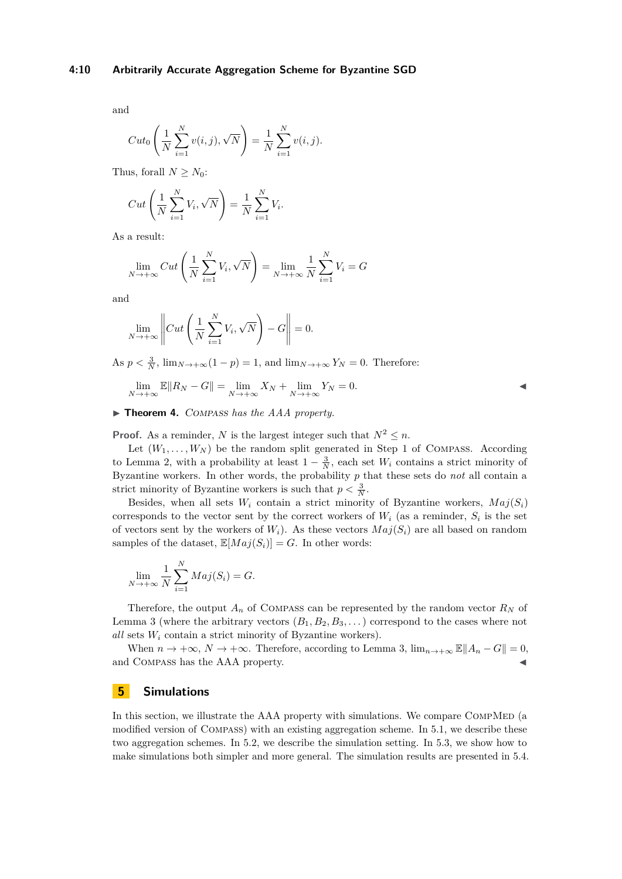and

$$
Cut_0\left(\frac{1}{N}\sum_{i=1}^{N}v(i,j),\sqrt{N}\right) = \frac{1}{N}\sum_{i=1}^{N}v(i,j).
$$

Thus, forall  $N > N_0$ :

$$
Cut\left(\frac{1}{N}\sum_{i=1}^{N}V_i, \sqrt{N}\right) = \frac{1}{N}\sum_{i=1}^{N}V_i.
$$

As a result:

$$
\lim_{N \to +\infty} Cut\left(\frac{1}{N} \sum_{i=1}^{N} V_i, \sqrt{N}\right) = \lim_{N \to +\infty} \frac{1}{N} \sum_{i=1}^{N} V_i = G
$$

and

$$
\lim_{N \to +\infty} \left\| Cut \left( \frac{1}{N} \sum_{i=1}^{N} V_i, \sqrt{N} \right) - G \right\| = 0.
$$

As  $p < \frac{3}{N}$ ,  $\lim_{N \to +\infty} (1 - p) = 1$ , and  $\lim_{N \to +\infty} Y_N = 0$ . Therefore:

$$
\lim_{N \to +\infty} \mathbb{E} \|R_N - G\| = \lim_{N \to +\infty} X_N + \lim_{N \to +\infty} Y_N = 0.
$$

<span id="page-9-1"></span>▶ **Theorem 4.** Compass *has the AAA property.*

**Proof.** As a reminder, *N* is the largest integer such that  $N^2 \leq n$ .

Let  $(W_1, \ldots, W_N)$  be the random split generated in Step 1 of COMPASS. According to Lemma [2,](#page-7-1) with a probability at least  $1 - \frac{3}{N}$ , each set  $W_i$  contains a strict minority of Byzantine workers. In other words, the probability *p* that these sets do *not* all contain a strict minority of Byzantine workers is such that  $p < \frac{3}{N}$ .

Besides, when all sets  $W_i$  contain a strict minority of Byzantine workers,  $Maj(S_i)$ corresponds to the vector sent by the correct workers of  $W_i$  (as a reminder,  $S_i$  is the set of vectors sent by the workers of  $W_i$ ). As these vectors  $Maj(S_i)$  are all based on random samples of the dataset,  $\mathbb{E}[Maj(S_i)] = G$ . In other words:

$$
\lim_{N \to +\infty} \frac{1}{N} \sum_{i=1}^{N} Maj(S_i) = G.
$$

Therefore, the output  $A_n$  of COMPASS can be represented by the random vector  $R_N$  of Lemma [3](#page-7-0) (where the arbitrary vectors  $(B_1, B_2, B_3, \ldots)$  correspond to the cases where not *all* sets *W<sup>i</sup>* contain a strict minority of Byzantine workers).

When  $n \to +\infty$ ,  $N \to +\infty$ . Therefore, according to Lemma [3,](#page-7-0)  $\lim_{n \to +\infty} \mathbb{E} ||A_n - G|| = 0$ , and COMPASS has the AAA property.

## <span id="page-9-0"></span>**5 Simulations**

In this section, we illustrate the AAA property with simulations. We compare COMPMED (a modified version of Compass) with an existing aggregation scheme. In [5.1,](#page-10-0) we describe these two aggregation schemes. In [5.2,](#page-11-0) we describe the simulation setting. In [5.3,](#page-11-1) we show how to make simulations both simpler and more general. The simulation results are presented in [5.4.](#page-12-0)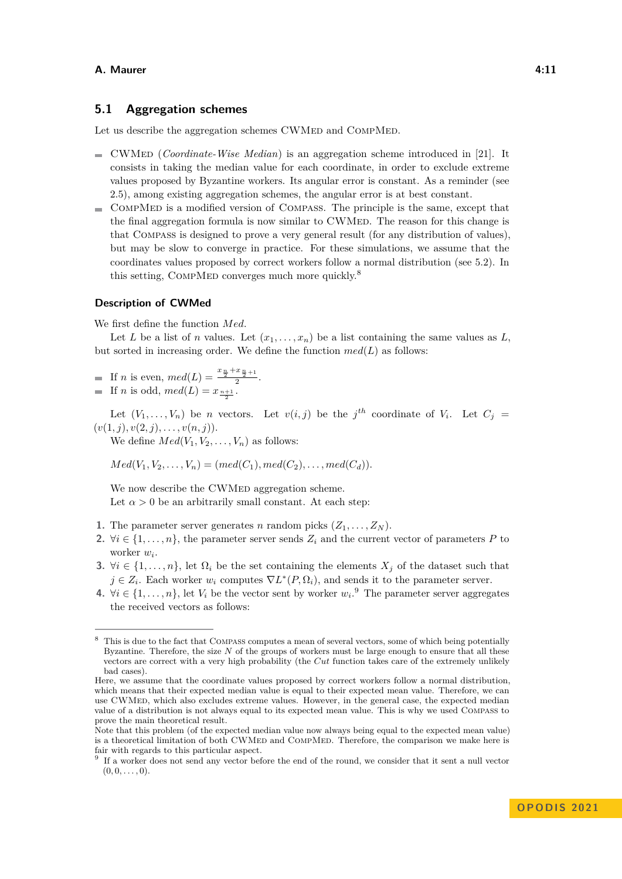# <span id="page-10-0"></span>**5.1 Aggregation schemes**

Let us describe the aggregation schemes CWMED and COMPMED.

- CWMed (*Coordinate-Wise Median*) is an aggregation scheme introduced in [\[21\]](#page-14-4). It consists in taking the median value for each coordinate, in order to exclude extreme values proposed by Byzantine workers. Its angular error is constant. As a reminder (see [2.5\)](#page-4-0), among existing aggregation schemes, the angular error is at best constant.
- CompMed is a modified version of Compass. The principle is the same, except that  $\blacksquare$ the final aggregation formula is now similar to CWMED. The reason for this change is that Compass is designed to prove a very general result (for any distribution of values), but may be slow to converge in practice. For these simulations, we assume that the coordinates values proposed by correct workers follow a normal distribution (see [5.2\)](#page-11-0). In this setting, COMPMED converges much more quickly. $8$

#### **Description of CWMed**

We first define the function *Med*.

Let *L* be a list of *n* values. Let  $(x_1, \ldots, x_n)$  be a list containing the same values as *L*, but sorted in increasing order. We define the function  $med(L)$  as follows:

If *n* is even,  $med(L) = \frac{x_{\frac{n}{2}} + x_{\frac{n}{2}+1}}{2}$ . If *n* is odd,  $med(L) = x_{\frac{n+1}{2}}$ .

Let  $(V_1, \ldots, V_n)$  be *n* vectors. Let  $v(i, j)$  be the  $j<sup>th</sup>$  coordinate of  $V_i$ . Let  $C_j =$  $(v(1, j), v(2, j), \ldots, v(n, j)).$ 

We define  $Med(V_1, V_2, \ldots, V_n)$  as follows:

 $Med(V_1, V_2, \ldots, V_n) = (med(C_1), med(C_2), \ldots, med(C_d)).$ 

We now describe the CWMED aggregation scheme. Let  $\alpha > 0$  be an arbitrarily small constant. At each step:

- **1.** The parameter server generates *n* random picks  $(Z_1, \ldots, Z_N)$ .
- 2.  $\forall i \in \{1, \ldots, n\}$ , the parameter server sends  $Z_i$  and the current vector of parameters P to worker *w<sup>i</sup>* .
- **3.**  $\forall i \in \{1, \ldots, n\}$ , let  $\Omega_i$  be the set containing the elements  $X_j$  of the dataset such that  $j \in Z_i$ . Each worker  $w_i$  computes  $\nabla L^*(P, \Omega_i)$ , and sends it to the parameter server.
- **4.**  $\forall i \in \{1, ..., n\}$ , let  $V_i$  be the vector sent by worker  $w_i$ . The parameter server aggregates the received vectors as follows:

<span id="page-10-1"></span>This is due to the fact that COMPASS computes a mean of several vectors, some of which being potentially Byzantine. Therefore, the size *N* of the groups of workers must be large enough to ensure that all these vectors are correct with a very high probability (the *Cut* function takes care of the extremely unlikely bad cases).

Here, we assume that the coordinate values proposed by correct workers follow a normal distribution, which means that their expected median value is equal to their expected mean value. Therefore, we can use CWMed, which also excludes extreme values. However, in the general case, the expected median value of a distribution is not always equal to its expected mean value. This is why we used Compass to prove the main theoretical result.

Note that this problem (of the expected median value now always being equal to the expected mean value) is a theoretical limitation of both CWMED and COMPMED. Therefore, the comparison we make here is fair with regards to this particular aspect.

<span id="page-10-2"></span><sup>&</sup>lt;sup>9</sup> If a worker does not send any vector before the end of the round, we consider that it sent a null vector  $(0, 0, \ldots, 0).$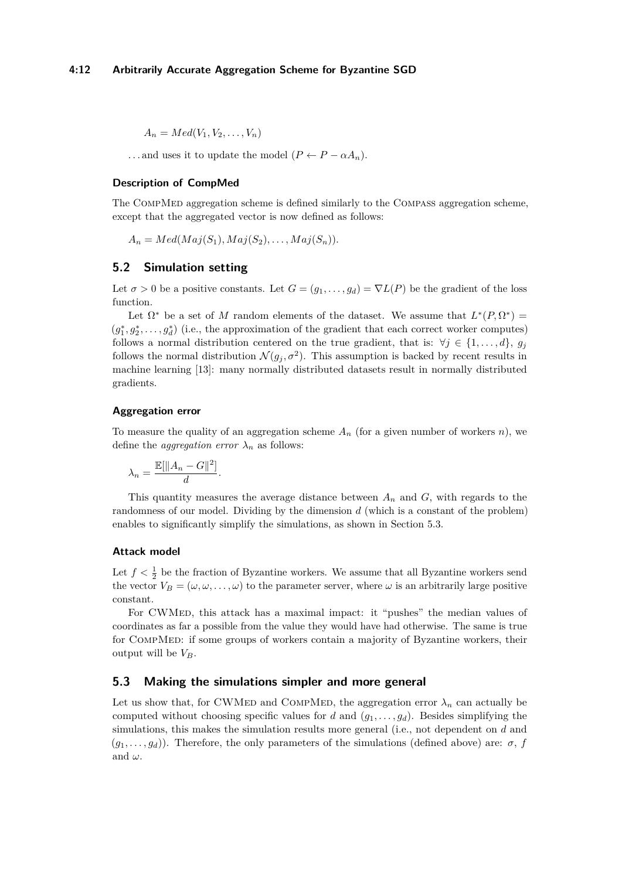$A_n = Med(V_1, V_2, \ldots, V_n)$ 

...and uses it to update the model  $(P \leftarrow P - \alpha A_n)$ .

# **Description of CompMed**

The CompMed aggregation scheme is defined similarly to the Compass aggregation scheme, except that the aggregated vector is now defined as follows:

 $A_n = Med(Maj(S_1), Maj(S_2), \ldots, Maj(S_n)).$ 

## <span id="page-11-0"></span>**5.2 Simulation setting**

Let  $\sigma > 0$  be a positive constants. Let  $G = (g_1, \ldots, g_d) = \nabla L(P)$  be the gradient of the loss function.

Let  $\Omega^*$  be a set of *M* random elements of the dataset. We assume that  $L^*(P,\Omega^*)$  =  $(g_1^*, g_2^*, \ldots, g_d^*)$  (i.e., the approximation of the gradient that each correct worker computes) follows a normal distribution centered on the true gradient, that is:  $\forall j \in \{1, \ldots, d\}$ ,  $g_j$ follows the normal distribution  $\mathcal{N}(g_j, \sigma^2)$ . This assumption is backed by recent results in machine learning [\[13\]](#page-14-12): many normally distributed datasets result in normally distributed gradients.

#### **Aggregation error**

To measure the quality of an aggregation scheme *A<sup>n</sup>* (for a given number of workers *n*), we define the *aggregation error*  $\lambda_n$  as follows:

$$
\lambda_n = \frac{\mathbb{E}[\|A_n - G\|^2]}{d}
$$

*.*

This quantity measures the average distance between *A<sup>n</sup>* and *G*, with regards to the randomness of our model. Dividing by the dimension *d* (which is a constant of the problem) enables to significantly simplify the simulations, as shown in Section [5.3.](#page-11-1)

#### **Attack model**

Let  $f < \frac{1}{2}$  be the fraction of Byzantine workers. We assume that all Byzantine workers send the vector  $V_B = (\omega, \omega, \dots, \omega)$  to the parameter server, where  $\omega$  is an arbitrarily large positive constant.

For CWMED, this attack has a maximal impact: it "pushes" the median values of coordinates as far a possible from the value they would have had otherwise. The same is true for CompMed: if some groups of workers contain a majority of Byzantine workers, their output will be  $V_B$ .

## <span id="page-11-1"></span>**5.3 Making the simulations simpler and more general**

Let us show that, for CWMED and COMPMED, the aggregation error  $\lambda_n$  can actually be computed without choosing specific values for *d* and  $(g_1, \ldots, g_d)$ . Besides simplifying the simulations, this makes the simulation results more general (i.e., not dependent on *d* and  $(g_1, \ldots, g_d)$ ). Therefore, the only parameters of the simulations (defined above) are:  $\sigma$ , *f* and  $\omega$ .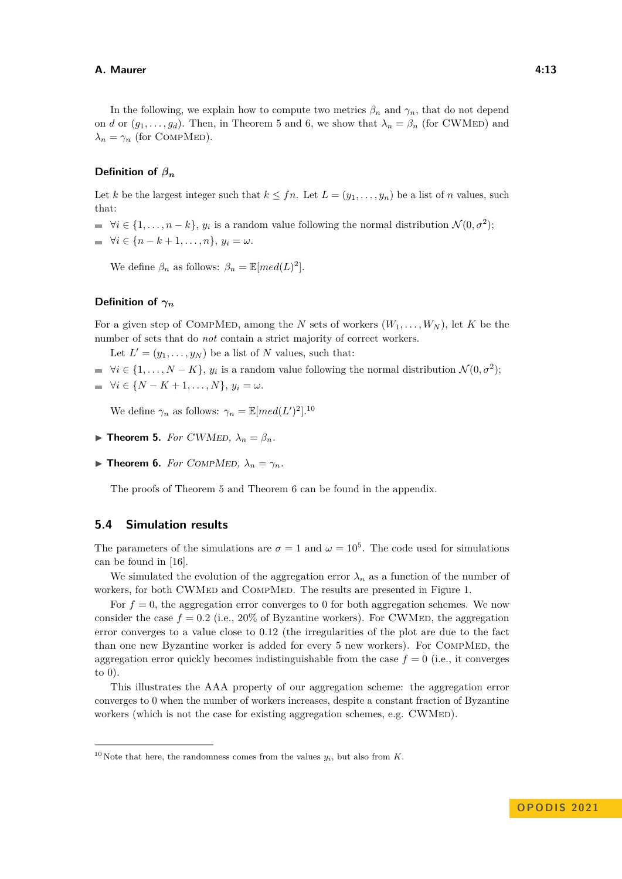In the following, we explain how to compute two metrics  $\beta_n$  and  $\gamma_n$ , that do not depend on *d* or  $(g_1, \ldots, g_d)$ . Then, in Theorem [5](#page-12-1) and [6,](#page-12-2) we show that  $\lambda_n = \beta_n$  (for CWMED) and  $\lambda_n = \gamma_n$  (for COMPMED).

## **Definition of** *β<sup>n</sup>*

Let *k* be the largest integer such that  $k \leq fn$ . Let  $L = (y_1, \ldots, y_n)$  be a list of *n* values, such that:

- $\forall i \in \{1, \ldots, n-k\}, y_i$  is a random value following the normal distribution  $\mathcal{N}(0, \sigma^2)$ ;
- $\forall i \in \{n k + 1, ..., n\}, y_i = ω.$

We define  $\beta_n$  as follows:  $\beta_n = \mathbb{E}[med(L)^2]$ .

## **Definition of** *γ<sup>n</sup>*

For a given step of COMPMED, among the *N* sets of workers  $(W_1, \ldots, W_N)$ , let *K* be the number of sets that do *not* contain a strict majority of correct workers.

Let  $L' = (y_1, \ldots, y_N)$  be a list of *N* values, such that:

 $\forall i \in \{1, \ldots, N - K\}, y_i$  is a random value following the normal distribution  $\mathcal{N}(0, \sigma^2)$ ;

$$
\quad \blacksquare \ \ \forall i \in \{N-K+1,\ldots,N\}, \ y_i = \omega.
$$

We define  $\gamma_n$  as follows:  $\gamma_n = \mathbb{E}[med(L')^2].^{10}$  $\gamma_n = \mathbb{E}[med(L')^2].^{10}$  $\gamma_n = \mathbb{E}[med(L')^2].^{10}$ 

- <span id="page-12-1"></span> $\blacktriangleright$  **Theorem 5.** *For CWMED,*  $\lambda_n = \beta_n$ *.*
- <span id="page-12-2"></span> $\triangleright$  **Theorem 6.** *For* COMPMED,  $\lambda_n = \gamma_n$ .

The proofs of Theorem [5](#page-12-1) and Theorem [6](#page-12-2) can be found in the appendix.

## <span id="page-12-0"></span>**5.4 Simulation results**

The parameters of the simulations are  $\sigma = 1$  and  $\omega = 10^5$ . The code used for simulations can be found in [\[16\]](#page-14-13).

We simulated the evolution of the aggregation error  $\lambda_n$  as a function of the number of workers, for both CWMED and COMPMED. The results are presented in Figure [1.](#page-13-8)

For  $f = 0$ , the aggregation error converges to 0 for both aggregation schemes. We now consider the case  $f = 0.2$  (i.e., 20% of Byzantine workers). For CWMED, the aggregation error converges to a value close to 0*.*12 (the irregularities of the plot are due to the fact than one new Byzantine worker is added for every 5 new workers). For COMPMED, the aggregation error quickly becomes indistinguishable from the case  $f = 0$  (i.e., it converges to 0).

This illustrates the AAA property of our aggregation scheme: the aggregation error converges to 0 when the number of workers increases, despite a constant fraction of Byzantine workers (which is not the case for existing aggregation schemes, e.g.  $\text{CWMED}$ ).

<span id="page-12-3"></span><sup>&</sup>lt;sup>10</sup> Note that here, the randomness comes from the values  $y_i$ , but also from *K*.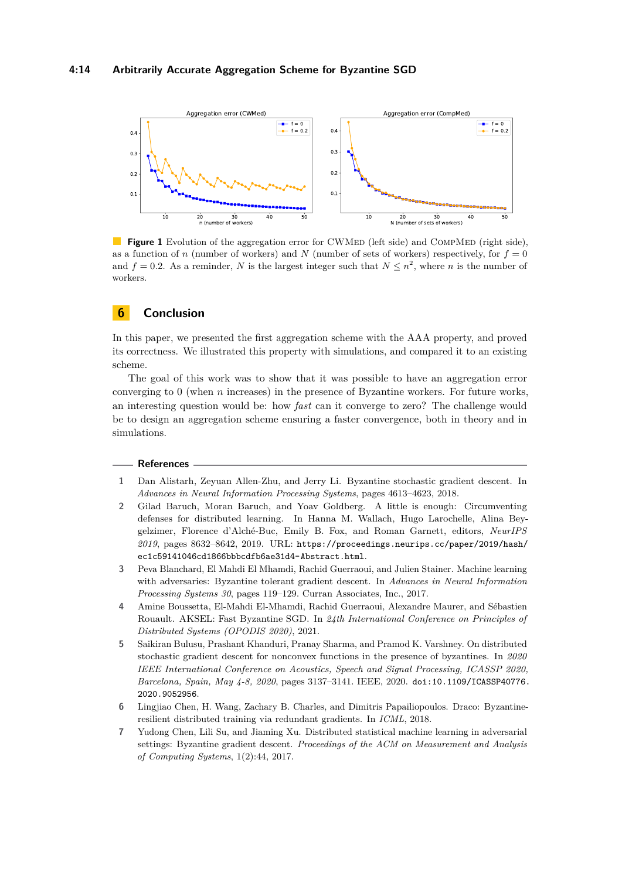<span id="page-13-8"></span>

**Figure 1** Evolution of the aggregation error for CWMED (left side) and COMPMED (right side), as a function of *n* (number of workers) and *N* (number of sets of workers) respectively, for  $f = 0$ and  $f = 0.2$ . As a reminder, N is the largest integer such that  $N \leq n^2$ , where n is the number of workers.

# <span id="page-13-4"></span>**6 Conclusion**

In this paper, we presented the first aggregation scheme with the AAA property, and proved its correctness. We illustrated this property with simulations, and compared it to an existing scheme.

The goal of this work was to show that it was possible to have an aggregation error converging to 0 (when *n* increases) in the presence of Byzantine workers. For future works, an interesting question would be: how *fast* can it converge to zero? The challenge would be to design an aggregation scheme ensuring a faster convergence, both in theory and in simulations.

#### **References**

- <span id="page-13-3"></span>**1** Dan Alistarh, Zeyuan Allen-Zhu, and Jerry Li. Byzantine stochastic gradient descent. In *Advances in Neural Information Processing Systems*, pages 4613–4623, 2018.
- <span id="page-13-6"></span>**2** Gilad Baruch, Moran Baruch, and Yoav Goldberg. A little is enough: Circumventing defenses for distributed learning. In Hanna M. Wallach, Hugo Larochelle, Alina Beygelzimer, Florence d'Alché-Buc, Emily B. Fox, and Roman Garnett, editors, *NeurIPS 2019*, pages 8632–8642, 2019. URL: [https://proceedings.neurips.cc/paper/2019/hash/](https://proceedings.neurips.cc/paper/2019/hash/ec1c59141046cd1866bbbcdfb6ae31d4-Abstract.html) [ec1c59141046cd1866bbbcdfb6ae31d4-Abstract.html](https://proceedings.neurips.cc/paper/2019/hash/ec1c59141046cd1866bbbcdfb6ae31d4-Abstract.html).
- <span id="page-13-0"></span>**3** Peva Blanchard, El Mahdi El Mhamdi, Rachid Guerraoui, and Julien Stainer. Machine learning with adversaries: Byzantine tolerant gradient descent. In *Advances in Neural Information Processing Systems 30*, pages 119–129. Curran Associates, Inc., 2017.
- <span id="page-13-7"></span>**4** Amine Boussetta, El-Mahdi El-Mhamdi, Rachid Guerraoui, Alexandre Maurer, and Sébastien Rouault. AKSEL: Fast Byzantine SGD. In *24th International Conference on Principles of Distributed Systems (OPODIS 2020)*, 2021.
- <span id="page-13-5"></span>**5** Saikiran Bulusu, Prashant Khanduri, Pranay Sharma, and Pramod K. Varshney. On distributed stochastic gradient descent for nonconvex functions in the presence of byzantines. In *2020 IEEE International Conference on Acoustics, Speech and Signal Processing, ICASSP 2020, Barcelona, Spain, May 4-8, 2020*, pages 3137–3141. IEEE, 2020. [doi:10.1109/ICASSP40776.](https://doi.org/10.1109/ICASSP40776.2020.9052956) [2020.9052956](https://doi.org/10.1109/ICASSP40776.2020.9052956).
- <span id="page-13-2"></span>**6** Lingjiao Chen, H. Wang, Zachary B. Charles, and Dimitris Papailiopoulos. Draco: Byzantineresilient distributed training via redundant gradients. In *ICML*, 2018.
- <span id="page-13-1"></span>**7** Yudong Chen, Lili Su, and Jiaming Xu. Distributed statistical machine learning in adversarial settings: Byzantine gradient descent. *Proceedings of the ACM on Measurement and Analysis of Computing Systems*, 1(2):44, 2017.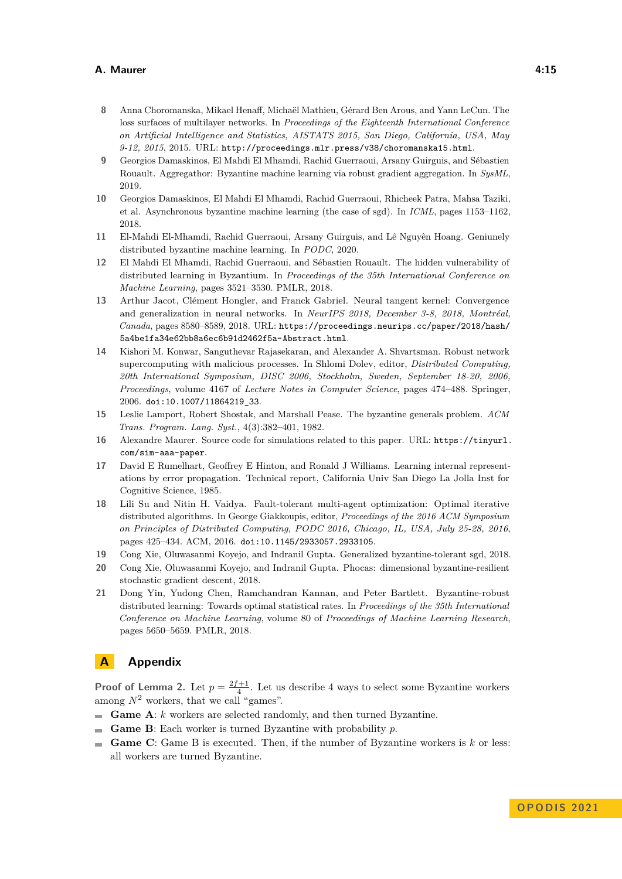- <span id="page-14-11"></span>**8** Anna Choromanska, Mikael Henaff, Michaël Mathieu, Gérard Ben Arous, and Yann LeCun. The loss surfaces of multilayer networks. In *Proceedings of the Eighteenth International Conference on Artificial Intelligence and Statistics, AISTATS 2015, San Diego, California, USA, May 9-12, 2015*, 2015. URL: <http://proceedings.mlr.press/v38/choromanska15.html>.
- <span id="page-14-3"></span>**9** Georgios Damaskinos, El Mahdi El Mhamdi, Rachid Guerraoui, Arsany Guirguis, and Sébastien Rouault. Aggregathor: Byzantine machine learning via robust gradient aggregation. In *SysML*, 2019.
- <span id="page-14-8"></span>**10** Georgios Damaskinos, El Mahdi El Mhamdi, Rachid Guerraoui, Rhicheek Patra, Mahsa Taziki, et al. Asynchronous byzantine machine learning (the case of sgd). In *ICML*, pages 1153–1162, 2018.
- <span id="page-14-9"></span>**11** El-Mahdi El-Mhamdi, Rachid Guerraoui, Arsany Guirguis, and Lê Nguyên Hoang. Geniunely distributed byzantine machine learning. In *PODC*, 2020.
- <span id="page-14-7"></span>**12** El Mahdi El Mhamdi, Rachid Guerraoui, and Sébastien Rouault. The hidden vulnerability of distributed learning in Byzantium. In *Proceedings of the 35th International Conference on Machine Learning*, pages 3521–3530. PMLR, 2018.
- <span id="page-14-12"></span>**13** Arthur Jacot, Clément Hongler, and Franck Gabriel. Neural tangent kernel: Convergence and generalization in neural networks. In *NeurIPS 2018, December 3-8, 2018, Montréal, Canada*, pages 8580–8589, 2018. URL: [https://proceedings.neurips.cc/paper/2018/hash/](https://proceedings.neurips.cc/paper/2018/hash/5a4be1fa34e62bb8a6ec6b91d2462f5a-Abstract.html) [5a4be1fa34e62bb8a6ec6b91d2462f5a-Abstract.html](https://proceedings.neurips.cc/paper/2018/hash/5a4be1fa34e62bb8a6ec6b91d2462f5a-Abstract.html).
- <span id="page-14-10"></span>**14** Kishori M. Konwar, Sanguthevar Rajasekaran, and Alexander A. Shvartsman. Robust network supercomputing with malicious processes. In Shlomi Dolev, editor, *Distributed Computing, 20th International Symposium, DISC 2006, Stockholm, Sweden, September 18-20, 2006, Proceedings*, volume 4167 of *Lecture Notes in Computer Science*, pages 474–488. Springer, 2006. [doi:10.1007/11864219\\_33](https://doi.org/10.1007/11864219_33).
- <span id="page-14-1"></span>**15** Leslie Lamport, Robert Shostak, and Marshall Pease. The byzantine generals problem. *ACM Trans. Program. Lang. Syst.*, 4(3):382–401, 1982.
- <span id="page-14-13"></span>**16** Alexandre Maurer. Source code for simulations related to this paper. URL: [https://tinyurl.](https://tinyurl.com/sim-aaa-paper) [com/sim-aaa-paper](https://tinyurl.com/sim-aaa-paper).
- <span id="page-14-0"></span>**17** David E Rumelhart, Geoffrey E Hinton, and Ronald J Williams. Learning internal representations by error propagation. Technical report, California Univ San Diego La Jolla Inst for Cognitive Science, 1985.
- <span id="page-14-2"></span>**18** Lili Su and Nitin H. Vaidya. Fault-tolerant multi-agent optimization: Optimal iterative distributed algorithms. In George Giakkoupis, editor, *Proceedings of the 2016 ACM Symposium on Principles of Distributed Computing, PODC 2016, Chicago, IL, USA, July 25-28, 2016*, pages 425–434. ACM, 2016. [doi:10.1145/2933057.2933105](https://doi.org/10.1145/2933057.2933105).
- <span id="page-14-5"></span>**19** Cong Xie, Oluwasanmi Koyejo, and Indranil Gupta. Generalized byzantine-tolerant sgd, 2018.
- <span id="page-14-6"></span>**20** Cong Xie, Oluwasanmi Koyejo, and Indranil Gupta. Phocas: dimensional byzantine-resilient stochastic gradient descent, 2018.
- <span id="page-14-4"></span>**21** Dong Yin, Yudong Chen, Ramchandran Kannan, and Peter Bartlett. Byzantine-robust distributed learning: Towards optimal statistical rates. In *Proceedings of the 35th International Conference on Machine Learning*, volume 80 of *Proceedings of Machine Learning Research*, pages 5650–5659. PMLR, 2018.

# **A Appendix**

**Proof of Lemma [2.](#page-7-1)** Let  $p = \frac{2f+1}{4}$ . Let us describe 4 ways to select some Byzantine workers among  $N^2$  workers, that we call "games".

- **Game A**: *k* workers are selected randomly, and then turned Byzantine.
- **Game B**: Each worker is turned Byzantine with probability *p*.  $\rightarrow$
- **Game C**: Game B is executed. Then, if the number of Byzantine workers is *k* or less: all workers are turned Byzantine.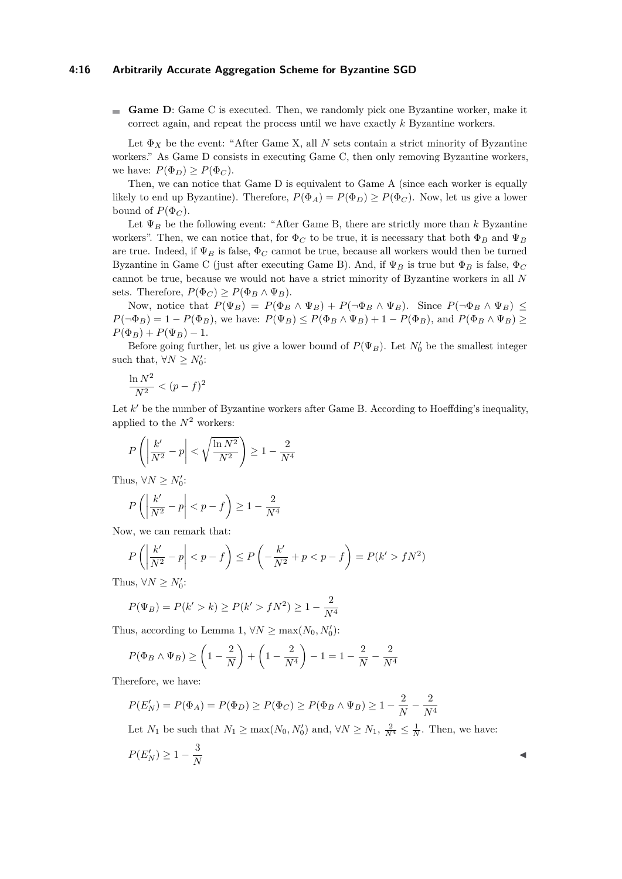#### **4:16 Arbitrarily Accurate Aggregation Scheme for Byzantine SGD**

**Game D**: Game C is executed. Then, we randomly pick one Byzantine worker, make it correct again, and repeat the process until we have exactly *k* Byzantine workers.

Let  $\Phi_X$  be the event: "After Game X, all N sets contain a strict minority of Byzantine workers." As Game D consists in executing Game C, then only removing Byzantine workers, we have:  $P(\Phi_D) \geq P(\Phi_C)$ .

Then, we can notice that Game D is equivalent to Game A (since each worker is equally likely to end up Byzantine). Therefore,  $P(\Phi_A) = P(\Phi_D) \ge P(\Phi_C)$ . Now, let us give a lower bound of  $P(\Phi_C)$ .

Let  $\Psi_B$  be the following event: "After Game B, there are strictly more than *k* Byzantine workers". Then, we can notice that, for  $\Phi_C$  to be true, it is necessary that both  $\Phi_B$  and  $\Psi_B$ are true. Indeed, if  $\Psi_B$  is false,  $\Phi_C$  cannot be true, because all workers would then be turned Byzantine in Game C (just after executing Game B). And, if Ψ*<sup>B</sup>* is true but Φ*<sup>B</sup>* is false, Φ*<sup>C</sup>* cannot be true, because we would not have a strict minority of Byzantine workers in all *N* sets. Therefore,  $P(\Phi_C) > P(\Phi_B \wedge \Psi_B)$ .

Now, notice that  $P(\Psi_B) = P(\Phi_B \wedge \Psi_B) + P(\neg \Phi_B \wedge \Psi_B)$ . Since  $P(\neg \Phi_B \wedge \Psi_B) \le$  $P(\neg \Phi_B) = 1 - P(\Phi_B)$ , we have:  $P(\Psi_B) \leq P(\Phi_B \land \Psi_B) + 1 - P(\Phi_B)$ , and  $P(\Phi_B \land \Psi_B) \geq$  $P(\Phi_B) + P(\Psi_B) - 1.$ 

Before going further, let us give a lower bound of  $P(\Psi_B)$ . Let  $N'_0$  be the smallest integer such that,  $\forall N \geq N'_0$ :

$$
\frac{\ln N^2}{N^2} < (p - f)^2
$$

Let *k'* be the number of Byzantine workers after Game B. According to Hoeffding's inequality, applied to the  $N^2$  workers:

$$
P\left(\left|\frac{k'}{N^2} - p\right| < \sqrt{\frac{\ln N^2}{N^2}}\right) \ge 1 - \frac{2}{N^4}
$$

Thus,  $\forall N \geq N'_0$ :

$$
P\left(\left|\frac{k'}{N^2}-p\right|
$$

Now, we can remark that:

$$
P\left(\left|\frac{k'}{N^2} - p\right| < p - f\right) \le P\left(-\frac{k'}{N^2} + p < p - f\right) = P(k' > fN^2)
$$

Thus,  $\forall N \ge N'_0$ :

$$
P(\Psi_B) = P(k' > k) \ge P(k' > fN^2) \ge 1 - \frac{2}{N^4}
$$

Thus, according to Lemma [1,](#page-6-2)  $\forall N \ge \max(N_0, N'_0)$ :

$$
P(\Phi_B \wedge \Psi_B) \ge \left(1 - \frac{2}{N}\right) + \left(1 - \frac{2}{N^4}\right) - 1 = 1 - \frac{2}{N} - \frac{2}{N^4}
$$

Therefore, we have:

$$
P(E'_N) = P(\Phi_A) = P(\Phi_D) \ge P(\Phi_C) \ge P(\Phi_B \land \Psi_B) \ge 1 - \frac{2}{N} - \frac{2}{N^4}
$$

Let  $N_1$  be such that  $N_1 \ge \max(N_0, N'_0)$  and,  $\forall N \ge N_1$ ,  $\frac{2}{N^4} \le \frac{1}{N}$ . Then, we have:

$$
P(E'_N) \ge 1 - \frac{3}{N}
$$